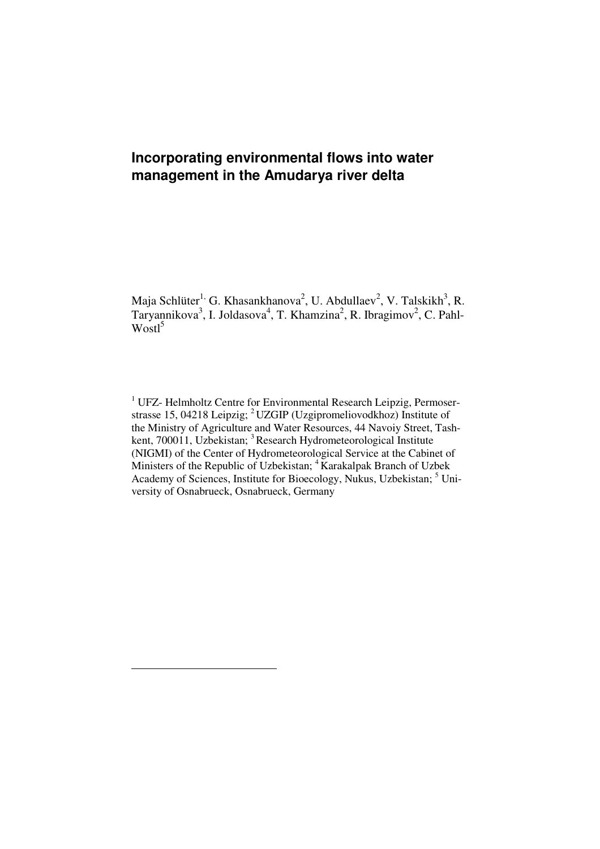# **Incorporating environmental flows into water management in the Amudarya river delta**

Maja Schlüter<sup>1,</sup> G. Khasankhanova<sup>2</sup>, U. Abdullaev<sup>2</sup>, V. Talskikh<sup>3</sup>, R. Taryannikova<sup>3</sup>, I. Joldasova<sup>4</sup>, T. Khamzina<sup>2</sup>, R. Ibragimov<sup>2</sup>, C. Pahl- $Wostl<sup>5</sup>$ 

<sup>1</sup> UFZ- Helmholtz Centre for Environmental Research Leipzig, Permoserstrasse 15, 04218 Leipzig; <sup>2</sup> UZGIP (Uzgipromeliovodkhoz) Institute of the Ministry of Agriculture and Water Resources, 44 Navoiy Street, Tashkent, 700011, Uzbekistan; <sup>3</sup> Research Hydrometeorological Institute (NIGMI) of the Center of Hydrometeorological Service at the Cabinet of Ministers of the Republic of Uzbekistan; <sup>4</sup>Karakalpak Branch of Uzbek Academy of Sciences, Institute for Bioecology, Nukus, Uzbekistan; <sup>5</sup> University of Osnabrueck, Osnabrueck, Germany

 $\overline{a}$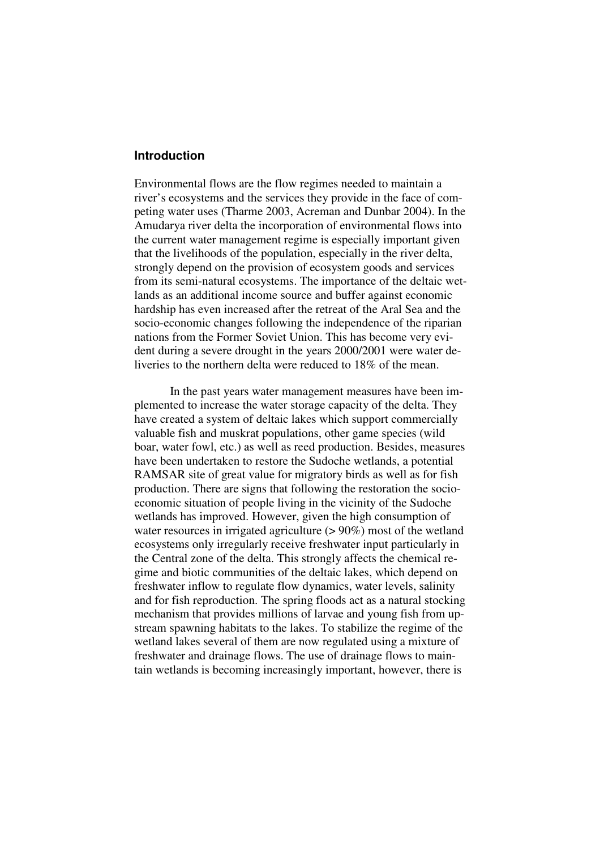### **Introduction**

Environmental flows are the flow regimes needed to maintain a river's ecosystems and the services they provide in the face of competing water uses (Tharme 2003, Acreman and Dunbar 2004). In the Amudarya river delta the incorporation of environmental flows into the current water management regime is especially important given that the livelihoods of the population, especially in the river delta, strongly depend on the provision of ecosystem goods and services from its semi-natural ecosystems. The importance of the deltaic wetlands as an additional income source and buffer against economic hardship has even increased after the retreat of the Aral Sea and the socio-economic changes following the independence of the riparian nations from the Former Soviet Union. This has become very evident during a severe drought in the years 2000/2001 were water deliveries to the northern delta were reduced to 18% of the mean.

In the past years water management measures have been implemented to increase the water storage capacity of the delta. They have created a system of deltaic lakes which support commercially valuable fish and muskrat populations, other game species (wild boar, water fowl, etc.) as well as reed production. Besides, measures have been undertaken to restore the Sudoche wetlands, a potential RAMSAR site of great value for migratory birds as well as for fish production. There are signs that following the restoration the socioeconomic situation of people living in the vicinity of the Sudoche wetlands has improved. However, given the high consumption of water resources in irrigated agriculture ( $> 90\%$ ) most of the wetland ecosystems only irregularly receive freshwater input particularly in the Central zone of the delta. This strongly affects the chemical regime and biotic communities of the deltaic lakes, which depend on freshwater inflow to regulate flow dynamics, water levels, salinity and for fish reproduction. The spring floods act as a natural stocking mechanism that provides millions of larvae and young fish from upstream spawning habitats to the lakes. To stabilize the regime of the wetland lakes several of them are now regulated using a mixture of freshwater and drainage flows. The use of drainage flows to maintain wetlands is becoming increasingly important, however, there is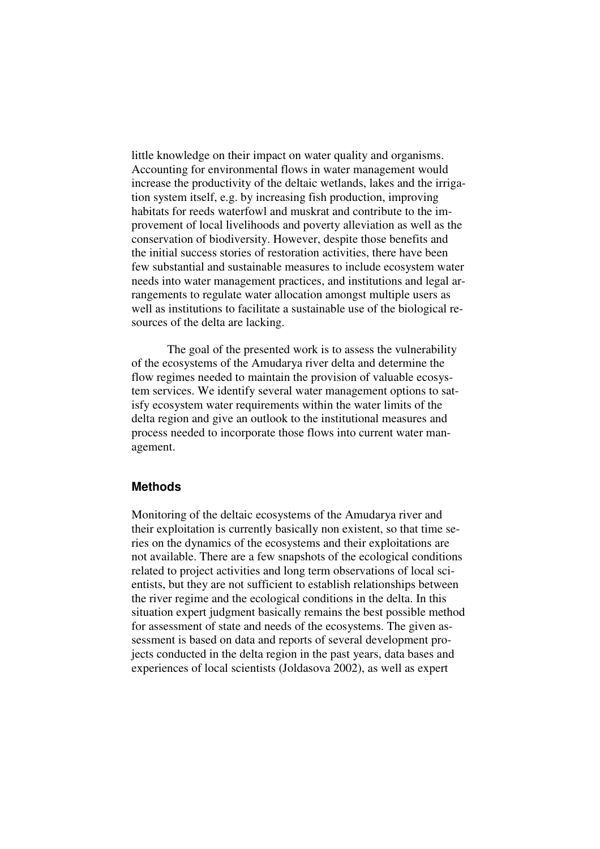little knowledge on their impact on water quality and organisms. Accounting for environmental flows in water management would increase the productivity of the deltaic wetlands, lakes and the irrigation system itself, e.g. by increasing fish production, improving habitats for reeds waterfowl and muskrat and contribute to the improvement of local livelihoods and poverty alleviation as well as the conservation of biodiversity. However, despite those benefits and the initial success stories of restoration activities, there have been few substantial and sustainable measures to include ecosystem water needs into water management practices, and institutions and legal arrangements to regulate water allocation amongst multiple users as well as institutions to facilitate a sustainable use of the biological resources of the delta are lacking.

The goal of the presented work is to assess the vulnerability of the ecosystems of the Amudarya river delta and determine the flow regimes needed to maintain the provision of valuable ecosystem services. We identify several water management options to satisfy ecosystem water requirements within the water limits of the delta region and give an outlook to the institutional measures and process needed to incorporate those flows into current water management.

# **Methods**

Monitoring of the deltaic ecosystems of the Amudarya river and their exploitation is currently basically non existent, so that time series on the dynamics of the ecosystems and their exploitations are not available. There are a few snapshots of the ecological conditions related to project activities and long term observations of local scientists, but they are not sufficient to establish relationships between the river regime and the ecological conditions in the delta. In this situation expert judgment basically remains the best possible method for assessment of state and needs of the ecosystems. The given assessment is based on data and reports of several development projects conducted in the delta region in the past years, data bases and experiences of local scientists (Joldasova 2002), as well as expert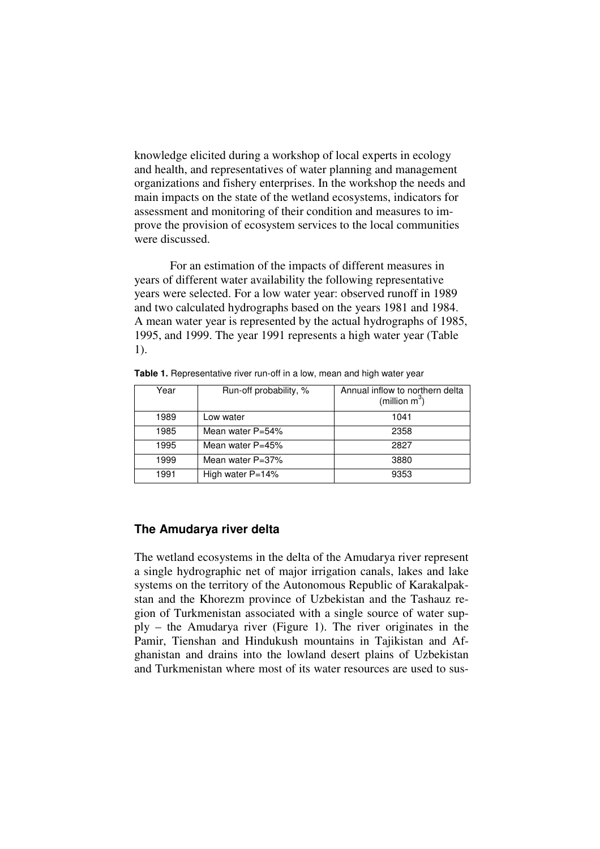knowledge elicited during a workshop of local experts in ecology and health, and representatives of water planning and management organizations and fishery enterprises. In the workshop the needs and main impacts on the state of the wetland ecosystems, indicators for assessment and monitoring of their condition and measures to improve the provision of ecosystem services to the local communities were discussed.

For an estimation of the impacts of different measures in years of different water availability the following representative years were selected. For a low water year: observed runoff in 1989 and two calculated hydrographs based on the years 1981 and 1984. A mean water year is represented by the actual hydrographs of 1985, 1995, and 1999. The year 1991 represents a high water year (Table 1).

| Year | Run-off probability, % | Annual inflow to northern delta<br>(million $m^3$ ) |
|------|------------------------|-----------------------------------------------------|
| 1989 | Low water              | 1041                                                |
| 1985 | Mean water $P=54\%$    | 2358                                                |
| 1995 | Mean water $P=45%$     | 2827                                                |
| 1999 | Mean water $P=37%$     | 3880                                                |
| 1991 | High water $P=14%$     | 9353                                                |

Table 1. Representative river run-off in a low, mean and high water year

## **The Amudarya river delta**

The wetland ecosystems in the delta of the Amudarya river represent a single hydrographic net of major irrigation canals, lakes and lake systems on the territory of the Autonomous Republic of Karakalpakstan and the Khorezm province of Uzbekistan and the Tashauz region of Turkmenistan associated with a single source of water supply – the Amudarya river (Figure 1). The river originates in the Pamir, Tienshan and Hindukush mountains in Tajikistan and Afghanistan and drains into the lowland desert plains of Uzbekistan and Turkmenistan where most of its water resources are used to sus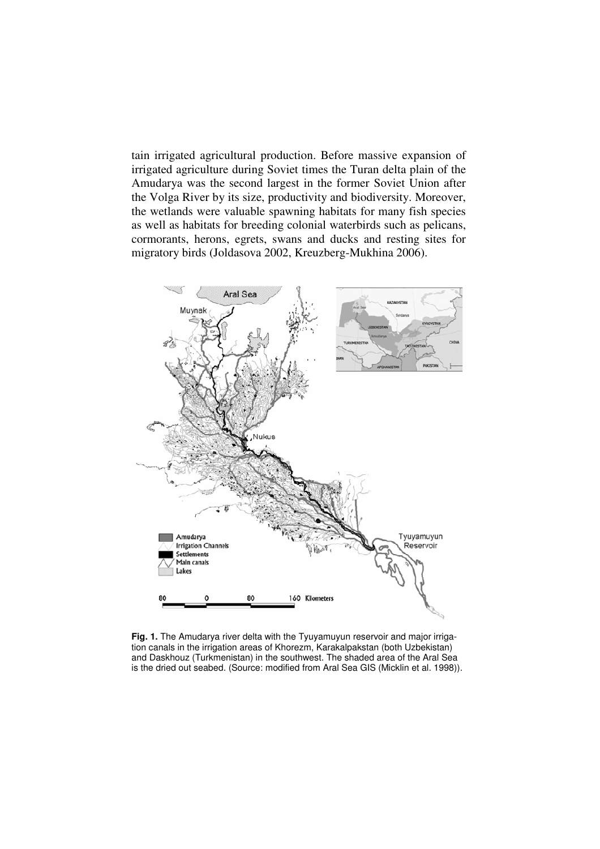tain irrigated agricultural production. Before massive expansion of irrigated agriculture during Soviet times the Turan delta plain of the Amudarya was the second largest in the former Soviet Union after the Volga River by its size, productivity and biodiversity. Moreover, the wetlands were valuable spawning habitats for many fish species as well as habitats for breeding colonial waterbirds such as pelicans, cormorants, herons, egrets, swans and ducks and resting sites for migratory birds (Joldasova 2002, Kreuzberg-Mukhina 2006).



**Fig. 1.** The Amudarya river delta with the Tyuyamuyun reservoir and major irrigation canals in the irrigation areas of Khorezm, Karakalpakstan (both Uzbekistan) and Daskhouz (Turkmenistan) in the southwest. The shaded area of the Aral Sea is the dried out seabed. (Source: modified from Aral Sea GIS (Micklin et al. 1998)).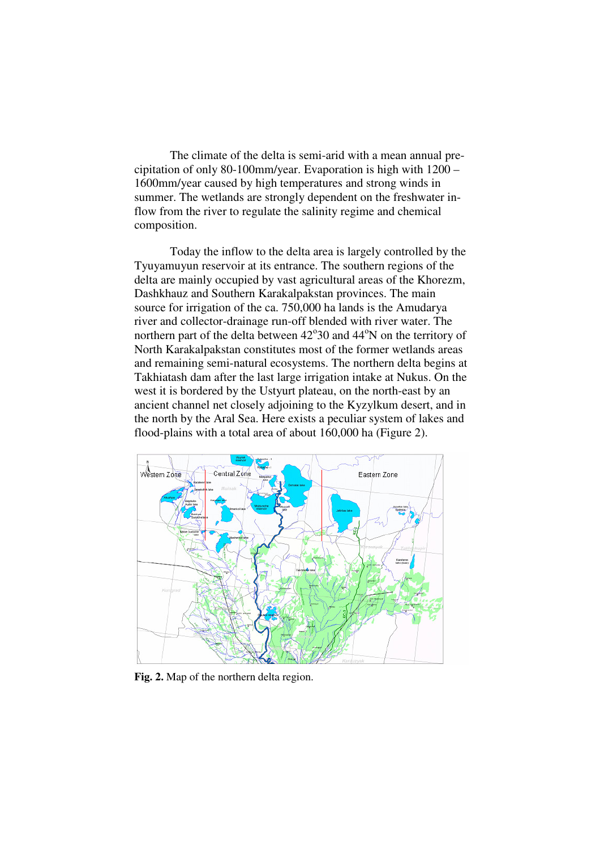The climate of the delta is semi-arid with a mean annual precipitation of only 80-100mm/year. Evaporation is high with 1200 – 1600mm/year caused by high temperatures and strong winds in summer. The wetlands are strongly dependent on the freshwater inflow from the river to regulate the salinity regime and chemical composition.

Today the inflow to the delta area is largely controlled by the Tyuyamuyun reservoir at its entrance. The southern regions of the delta are mainly occupied by vast agricultural areas of the Khorezm, Dashkhauz and Southern Karakalpakstan provinces. The main source for irrigation of the ca. 750,000 ha lands is the Amudarya river and collector-drainage run-off blended with river water. The northern part of the delta between 42°30 and 44°N on the territory of North Karakalpakstan constitutes most of the former wetlands areas and remaining semi-natural ecosystems. The northern delta begins at Takhiatash dam after the last large irrigation intake at Nukus. On the west it is bordered by the Ustyurt plateau, on the north-east by an ancient channel net closely adjoining to the Kyzylkum desert, and in the north by the Aral Sea. Here exists a peculiar system of lakes and flood-plains with a total area of about 160,000 ha (Figure 2).



**Fig. 2.** Map of the northern delta region.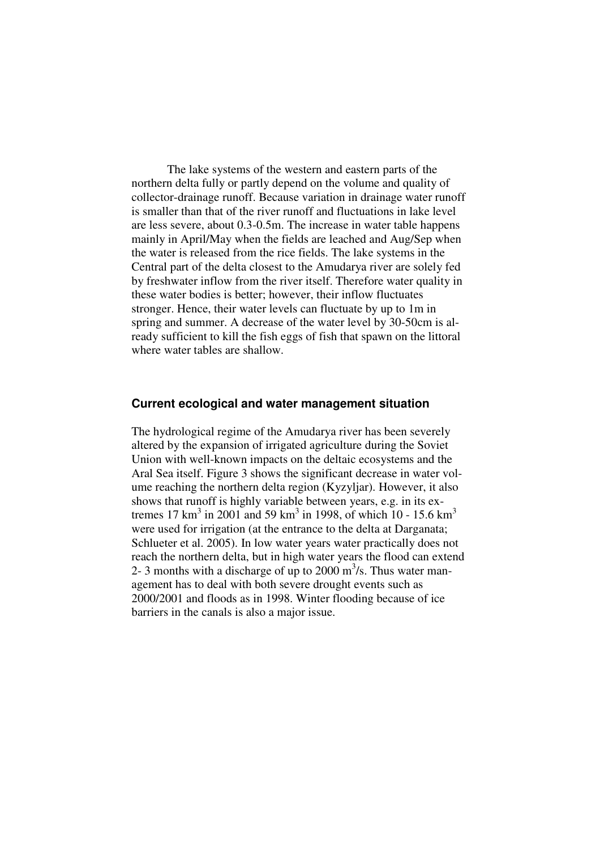The lake systems of the western and eastern parts of the northern delta fully or partly depend on the volume and quality of collector-drainage runoff. Because variation in drainage water runoff is smaller than that of the river runoff and fluctuations in lake level are less severe, about 0.3-0.5m. The increase in water table happens mainly in April/May when the fields are leached and Aug/Sep when the water is released from the rice fields. The lake systems in the Central part of the delta closest to the Amudarya river are solely fed by freshwater inflow from the river itself. Therefore water quality in these water bodies is better; however, their inflow fluctuates stronger. Hence, their water levels can fluctuate by up to 1m in spring and summer. A decrease of the water level by 30-50cm is already sufficient to kill the fish eggs of fish that spawn on the littoral where water tables are shallow.

# **Current ecological and water management situation**

The hydrological regime of the Amudarya river has been severely altered by the expansion of irrigated agriculture during the Soviet Union with well-known impacts on the deltaic ecosystems and the Aral Sea itself. Figure 3 shows the significant decrease in water volume reaching the northern delta region (Kyzyljar). However, it also shows that runoff is highly variable between years, e.g. in its extremes 17 km<sup>3</sup> in 2001 and 59 km<sup>3</sup> in 1998, of which 10 - 15.6 km<sup>3</sup> were used for irrigation (at the entrance to the delta at Darganata; Schlueter et al. 2005). In low water years water practically does not reach the northern delta, but in high water years the flood can extend 2- 3 months with a discharge of up to  $2000 \text{ m}^3$ /s. Thus water management has to deal with both severe drought events such as 2000/2001 and floods as in 1998. Winter flooding because of ice barriers in the canals is also a major issue.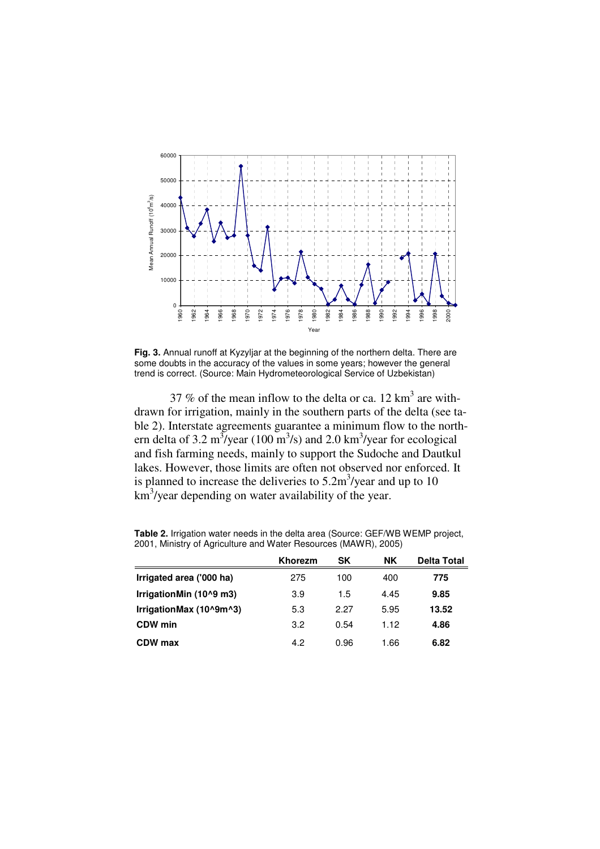

**Fig. 3.** Annual runoff at Kyzyljar at the beginning of the northern delta. There are some doubts in the accuracy of the values in some years; however the general trend is correct. (Source: Main Hydrometeorological Service of Uzbekistan)

37 % of the mean inflow to the delta or ca. 12  $\text{km}^3$  are withdrawn for irrigation, mainly in the southern parts of the delta (see table 2). Interstate agreements guarantee a minimum flow to the northern delta of 3.2 m<sup>3</sup>/year (100 m<sup>3</sup>/s) and 2.0 km<sup>3</sup>/year for ecological and fish farming needs, mainly to support the Sudoche and Dautkul lakes. However, those limits are often not observed nor enforced. It is planned to increase the deliveries to  $5.2 \text{m}^3/\text{year}$  and up to 10 km<sup>3</sup>/year depending on water availability of the year.

|                          | <b>Khorezm</b> | SΚ   | NΚ   | <b>Delta Total</b> |
|--------------------------|----------------|------|------|--------------------|
| Irrigated area ('000 ha) | 275            | 100  | 400  | 775                |
| IrrigationMin (10^9 m3)  | 3.9            | 1.5  | 4.45 | 9.85               |
| IrrigationMax (10^9m^3)  | 5.3            | 2.27 | 5.95 | 13.52              |
| CDW min                  | 3.2            | 0.54 | 1.12 | 4.86               |
| CDW max                  | 4.2            | 0.96 | 1.66 | 6.82               |

**Table 2.** Irrigation water needs in the delta area (Source: GEF/WB WEMP project, 2001, Ministry of Agriculture and Water Resources (MAWR), 2005)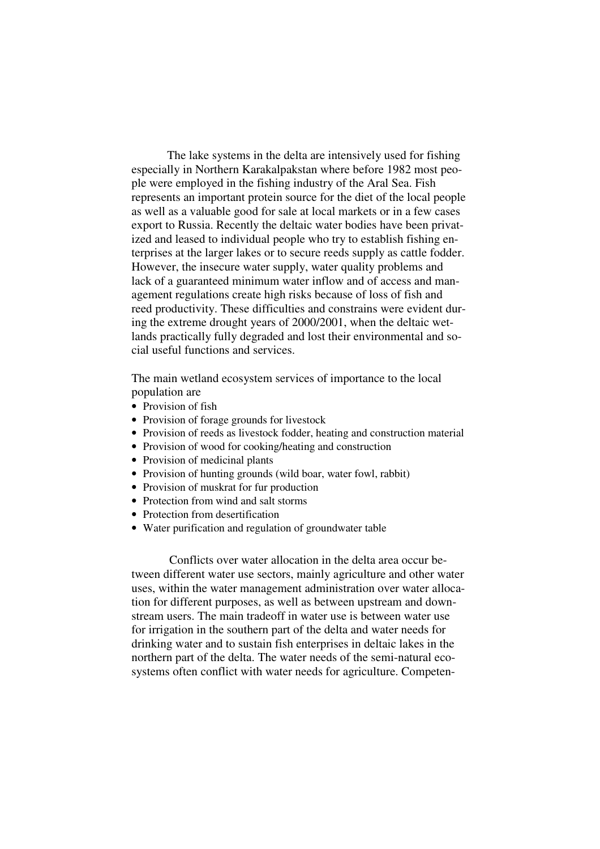The lake systems in the delta are intensively used for fishing especially in Northern Karakalpakstan where before 1982 most people were employed in the fishing industry of the Aral Sea. Fish represents an important protein source for the diet of the local people as well as a valuable good for sale at local markets or in a few cases export to Russia. Recently the deltaic water bodies have been privatized and leased to individual people who try to establish fishing enterprises at the larger lakes or to secure reeds supply as cattle fodder. However, the insecure water supply, water quality problems and lack of a guaranteed minimum water inflow and of access and management regulations create high risks because of loss of fish and reed productivity. These difficulties and constrains were evident during the extreme drought years of 2000/2001, when the deltaic wetlands practically fully degraded and lost their environmental and social useful functions and services.

The main wetland ecosystem services of importance to the local population are

- Provision of fish
- Provision of forage grounds for livestock
- Provision of reeds as livestock fodder, heating and construction material
- Provision of wood for cooking/heating and construction
- Provision of medicinal plants
- Provision of hunting grounds (wild boar, water fowl, rabbit)
- Provision of muskrat for fur production
- Protection from wind and salt storms
- Protection from desertification
- Water purification and regulation of groundwater table

Conflicts over water allocation in the delta area occur between different water use sectors, mainly agriculture and other water uses, within the water management administration over water allocation for different purposes, as well as between upstream and downstream users. The main tradeoff in water use is between water use for irrigation in the southern part of the delta and water needs for drinking water and to sustain fish enterprises in deltaic lakes in the northern part of the delta. The water needs of the semi-natural ecosystems often conflict with water needs for agriculture. Competen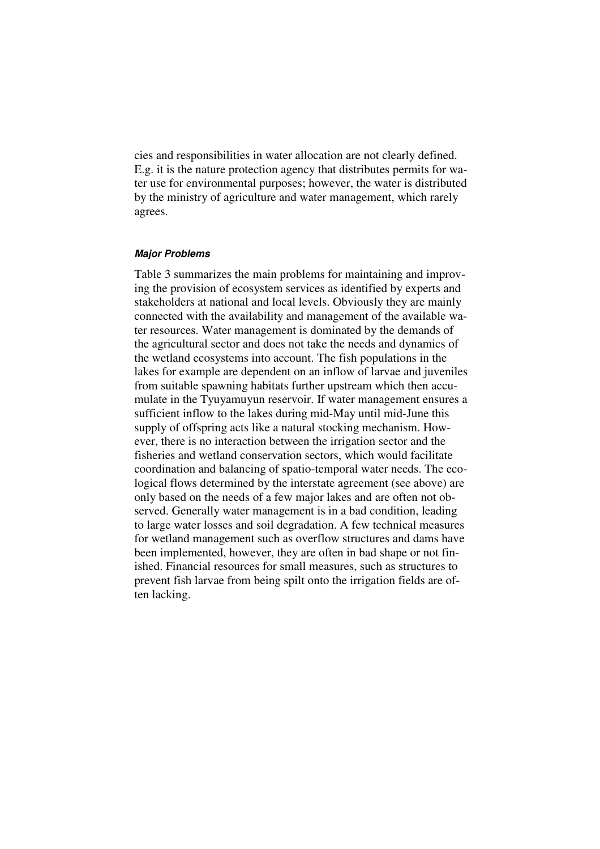cies and responsibilities in water allocation are not clearly defined. E.g. it is the nature protection agency that distributes permits for water use for environmental purposes; however, the water is distributed by the ministry of agriculture and water management, which rarely agrees.

#### **Major Problems**

Table 3 summarizes the main problems for maintaining and improving the provision of ecosystem services as identified by experts and stakeholders at national and local levels. Obviously they are mainly connected with the availability and management of the available water resources. Water management is dominated by the demands of the agricultural sector and does not take the needs and dynamics of the wetland ecosystems into account. The fish populations in the lakes for example are dependent on an inflow of larvae and juveniles from suitable spawning habitats further upstream which then accumulate in the Tyuyamuyun reservoir. If water management ensures a sufficient inflow to the lakes during mid-May until mid-June this supply of offspring acts like a natural stocking mechanism. However, there is no interaction between the irrigation sector and the fisheries and wetland conservation sectors, which would facilitate coordination and balancing of spatio-temporal water needs. The ecological flows determined by the interstate agreement (see above) are only based on the needs of a few major lakes and are often not observed. Generally water management is in a bad condition, leading to large water losses and soil degradation. A few technical measures for wetland management such as overflow structures and dams have been implemented, however, they are often in bad shape or not finished. Financial resources for small measures, such as structures to prevent fish larvae from being spilt onto the irrigation fields are often lacking.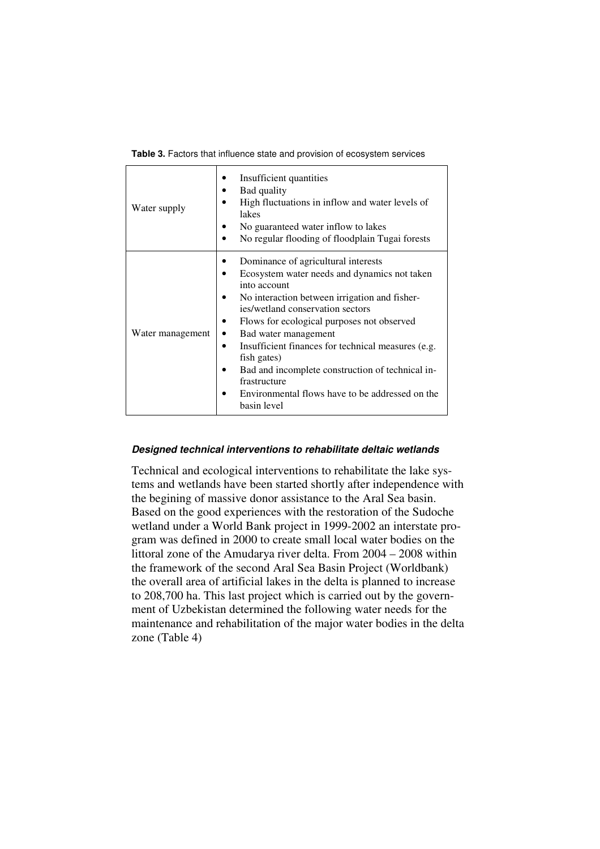|  | Table 3. Factors that influence state and provision of ecosystem services |  |
|--|---------------------------------------------------------------------------|--|
|  |                                                                           |  |

 $\Gamma$ 

| Water supply     | Insufficient quantities<br>Bad quality<br>High fluctuations in inflow and water levels of<br>lakes<br>No guaranteed water inflow to lakes<br>No regular flooding of floodplain Tugai forests                                                                                                                                                                                                                                                                              |
|------------------|---------------------------------------------------------------------------------------------------------------------------------------------------------------------------------------------------------------------------------------------------------------------------------------------------------------------------------------------------------------------------------------------------------------------------------------------------------------------------|
| Water management | Dominance of agricultural interests<br>Ecosystem water needs and dynamics not taken<br>into account<br>No interaction between irrigation and fisher-<br>ies/wetland conservation sectors<br>Flows for ecological purposes not observed<br>Bad water management<br>Insufficient finances for technical measures (e.g.<br>fish gates)<br>Bad and incomplete construction of technical in-<br>frastructure<br>Environmental flows have to be addressed on the<br>basin level |

#### **Designed technical interventions to rehabilitate deltaic wetlands**

Technical and ecological interventions to rehabilitate the lake systems and wetlands have been started shortly after independence with the begining of massive donor assistance to the Aral Sea basin. Based on the good experiences with the restoration of the Sudoche wetland under a World Bank project in 1999-2002 an interstate program was defined in 2000 to create small local water bodies on the littoral zone of the Amudarya river delta. From 2004 – 2008 within the framework of the second Aral Sea Basin Project (Worldbank) the overall area of artificial lakes in the delta is planned to increase to 208,700 ha. This last project which is carried out by the government of Uzbekistan determined the following water needs for the maintenance and rehabilitation of the major water bodies in the delta zone (Table 4)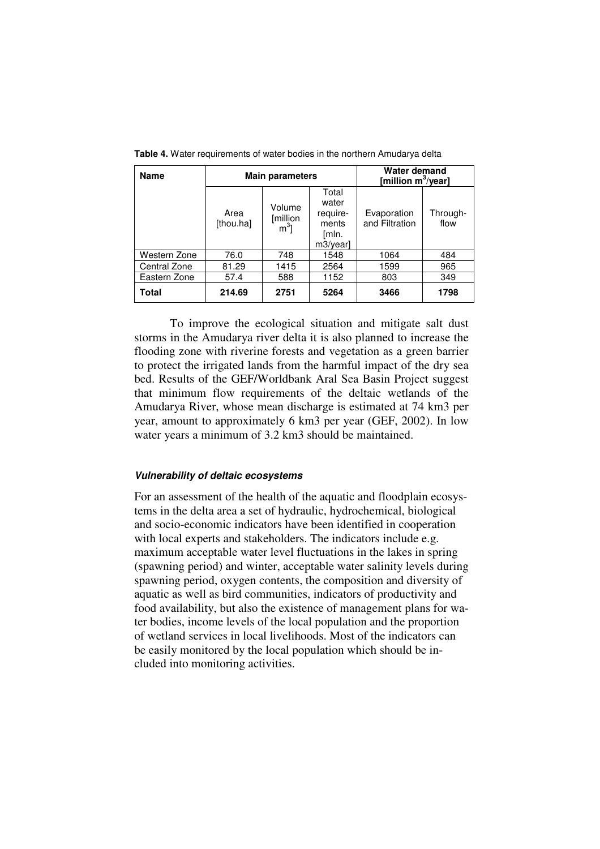| <b>Name</b>  | <b>Main parameters</b> |                              | Water demand<br>[million $m^3$ /year]                    |                               |                  |
|--------------|------------------------|------------------------------|----------------------------------------------------------|-------------------------------|------------------|
|              | Area<br>[thou.ha]      | Volume<br>[million<br>$m3$ ] | Total<br>water<br>require-<br>ments<br>[mln.<br>m3/year] | Evaporation<br>and Filtration | Through-<br>flow |
| Western Zone | 76.0                   | 748                          | 1548                                                     | 1064                          | 484              |
| Central Zone | 81.29                  | 1415                         | 2564                                                     | 1599                          | 965              |
| Eastern Zone | 57.4                   | 588                          | 1152                                                     | 803                           | 349              |
| Total        | 214.69                 | 2751                         | 5264                                                     | 3466                          | 1798             |

**Table 4.** Water requirements of water bodies in the northern Amudarya delta

To improve the ecological situation and mitigate salt dust storms in the Amudarya river delta it is also planned to increase the flooding zone with riverine forests and vegetation as a green barrier to protect the irrigated lands from the harmful impact of the dry sea bed. Results of the GEF/Worldbank Aral Sea Basin Project suggest that minimum flow requirements of the deltaic wetlands of the Amudarya River, whose mean discharge is estimated at 74 km3 per year, amount to approximately 6 km3 per year (GEF, 2002). In low water years a minimum of 3.2 km3 should be maintained.

#### **Vulnerability of deltaic ecosystems**

For an assessment of the health of the aquatic and floodplain ecosystems in the delta area a set of hydraulic, hydrochemical, biological and socio-economic indicators have been identified in cooperation with local experts and stakeholders. The indicators include e.g. maximum acceptable water level fluctuations in the lakes in spring (spawning period) and winter, acceptable water salinity levels during spawning period, oxygen contents, the composition and diversity of aquatic as well as bird communities, indicators of productivity and food availability, but also the existence of management plans for water bodies, income levels of the local population and the proportion of wetland services in local livelihoods. Most of the indicators can be easily monitored by the local population which should be included into monitoring activities.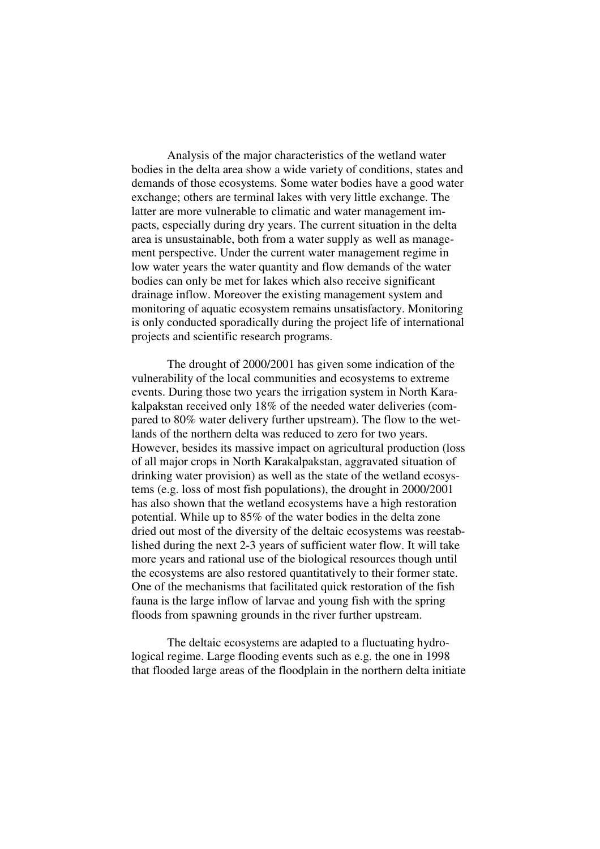Analysis of the major characteristics of the wetland water bodies in the delta area show a wide variety of conditions, states and demands of those ecosystems. Some water bodies have a good water exchange; others are terminal lakes with very little exchange. The latter are more vulnerable to climatic and water management impacts, especially during dry years. The current situation in the delta area is unsustainable, both from a water supply as well as management perspective. Under the current water management regime in low water years the water quantity and flow demands of the water bodies can only be met for lakes which also receive significant drainage inflow. Moreover the existing management system and monitoring of aquatic ecosystem remains unsatisfactory. Monitoring is only conducted sporadically during the project life of international projects and scientific research programs.

The drought of 2000/2001 has given some indication of the vulnerability of the local communities and ecosystems to extreme events. During those two years the irrigation system in North Karakalpakstan received only 18% of the needed water deliveries (compared to 80% water delivery further upstream). The flow to the wetlands of the northern delta was reduced to zero for two years. However, besides its massive impact on agricultural production (loss of all major crops in North Karakalpakstan, aggravated situation of drinking water provision) as well as the state of the wetland ecosystems (e.g. loss of most fish populations), the drought in 2000/2001 has also shown that the wetland ecosystems have a high restoration potential. While up to 85% of the water bodies in the delta zone dried out most of the diversity of the deltaic ecosystems was reestablished during the next 2-3 years of sufficient water flow. It will take more years and rational use of the biological resources though until the ecosystems are also restored quantitatively to their former state. One of the mechanisms that facilitated quick restoration of the fish fauna is the large inflow of larvae and young fish with the spring floods from spawning grounds in the river further upstream.

The deltaic ecosystems are adapted to a fluctuating hydrological regime. Large flooding events such as e.g. the one in 1998 that flooded large areas of the floodplain in the northern delta initiate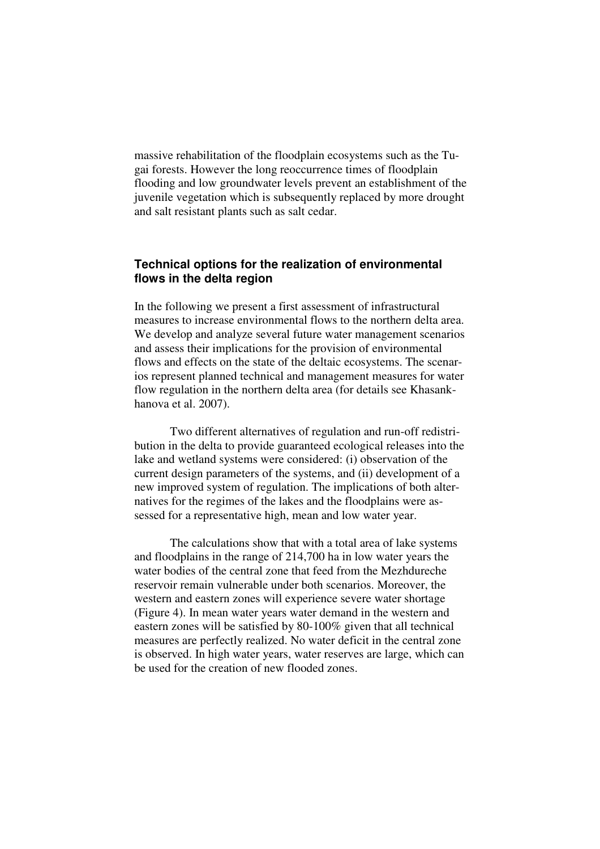massive rehabilitation of the floodplain ecosystems such as the Tugai forests. However the long reoccurrence times of floodplain flooding and low groundwater levels prevent an establishment of the juvenile vegetation which is subsequently replaced by more drought and salt resistant plants such as salt cedar.

# **Technical options for the realization of environmental flows in the delta region**

In the following we present a first assessment of infrastructural measures to increase environmental flows to the northern delta area. We develop and analyze several future water management scenarios and assess their implications for the provision of environmental flows and effects on the state of the deltaic ecosystems. The scenarios represent planned technical and management measures for water flow regulation in the northern delta area (for details see Khasankhanova et al. 2007).

Two different alternatives of regulation and run-off redistribution in the delta to provide guaranteed ecological releases into the lake and wetland systems were considered: (i) observation of the current design parameters of the systems, and (ii) development of a new improved system of regulation. The implications of both alternatives for the regimes of the lakes and the floodplains were assessed for a representative high, mean and low water year.

The calculations show that with a total area of lake systems and floodplains in the range of 214,700 ha in low water years the water bodies of the central zone that feed from the Mezhdureche reservoir remain vulnerable under both scenarios. Moreover, the western and eastern zones will experience severe water shortage (Figure 4). In mean water years water demand in the western and eastern zones will be satisfied by 80-100% given that all technical measures are perfectly realized. No water deficit in the central zone is observed. In high water years, water reserves are large, which can be used for the creation of new flooded zones.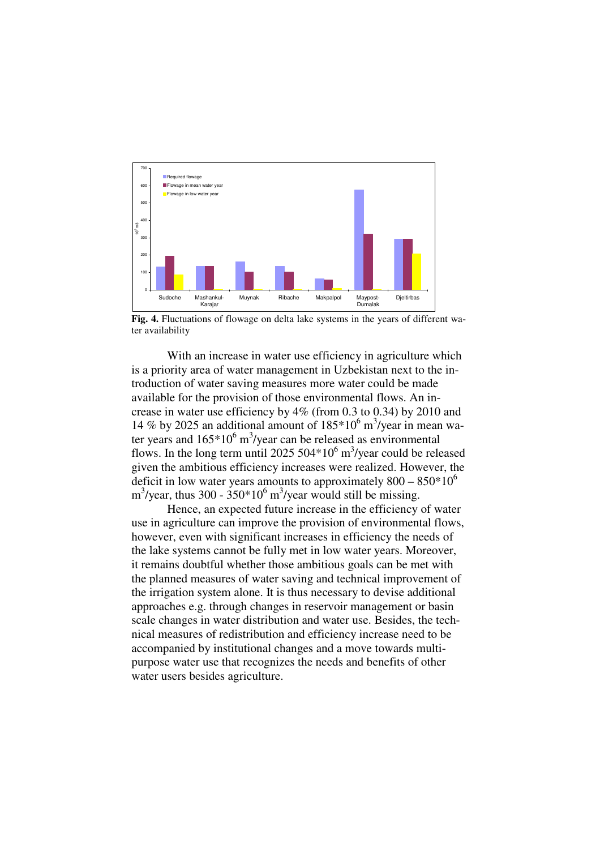

**Fig. 4.** Fluctuations of flowage on delta lake systems in the years of different water availability

With an increase in water use efficiency in agriculture which is a priority area of water management in Uzbekistan next to the introduction of water saving measures more water could be made available for the provision of those environmental flows. An increase in water use efficiency by 4% (from 0.3 to 0.34) by 2010 and 14 % by 2025 an additional amount of  $185*10^6$  m<sup>3</sup>/year in mean water years and  $165*10^6$  m<sup>3</sup>/year can be released as environmental flows. In the long term until 2025  $504*10^6$  m<sup>3</sup>/year could be released given the ambitious efficiency increases were realized. However, the deficit in low water years amounts to approximately  $800 - 850*10^6$  $\text{m}^3/\text{year}$ , thus 300 - 350\*10<sup>6</sup> m<sup>3</sup>/year would still be missing.

Hence, an expected future increase in the efficiency of water use in agriculture can improve the provision of environmental flows, however, even with significant increases in efficiency the needs of the lake systems cannot be fully met in low water years. Moreover, it remains doubtful whether those ambitious goals can be met with the planned measures of water saving and technical improvement of the irrigation system alone. It is thus necessary to devise additional approaches e.g. through changes in reservoir management or basin scale changes in water distribution and water use. Besides, the technical measures of redistribution and efficiency increase need to be accompanied by institutional changes and a move towards multipurpose water use that recognizes the needs and benefits of other water users besides agriculture.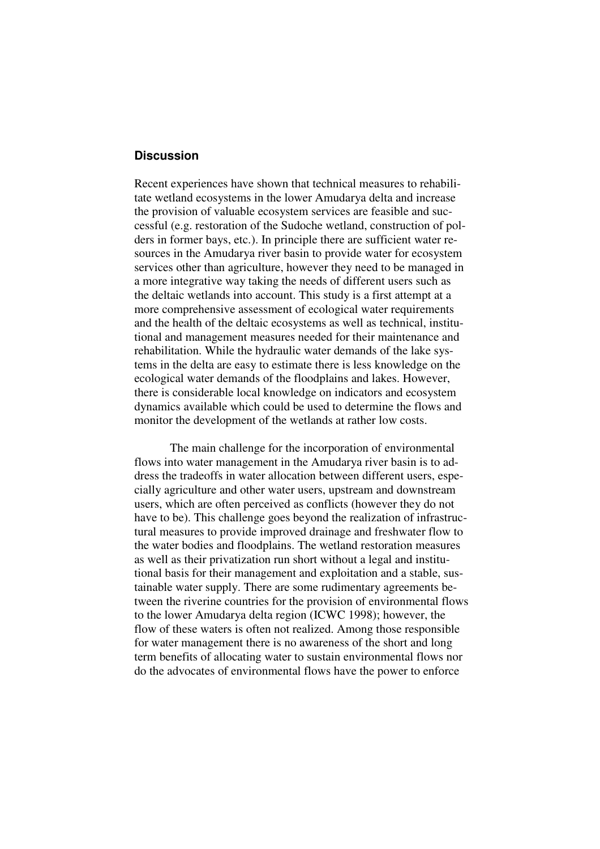# **Discussion**

Recent experiences have shown that technical measures to rehabilitate wetland ecosystems in the lower Amudarya delta and increase the provision of valuable ecosystem services are feasible and successful (e.g. restoration of the Sudoche wetland, construction of polders in former bays, etc.). In principle there are sufficient water resources in the Amudarya river basin to provide water for ecosystem services other than agriculture, however they need to be managed in a more integrative way taking the needs of different users such as the deltaic wetlands into account. This study is a first attempt at a more comprehensive assessment of ecological water requirements and the health of the deltaic ecosystems as well as technical, institutional and management measures needed for their maintenance and rehabilitation. While the hydraulic water demands of the lake systems in the delta are easy to estimate there is less knowledge on the ecological water demands of the floodplains and lakes. However, there is considerable local knowledge on indicators and ecosystem dynamics available which could be used to determine the flows and monitor the development of the wetlands at rather low costs.

The main challenge for the incorporation of environmental flows into water management in the Amudarya river basin is to address the tradeoffs in water allocation between different users, especially agriculture and other water users, upstream and downstream users, which are often perceived as conflicts (however they do not have to be). This challenge goes beyond the realization of infrastructural measures to provide improved drainage and freshwater flow to the water bodies and floodplains. The wetland restoration measures as well as their privatization run short without a legal and institutional basis for their management and exploitation and a stable, sustainable water supply. There are some rudimentary agreements between the riverine countries for the provision of environmental flows to the lower Amudarya delta region (ICWC 1998); however, the flow of these waters is often not realized. Among those responsible for water management there is no awareness of the short and long term benefits of allocating water to sustain environmental flows nor do the advocates of environmental flows have the power to enforce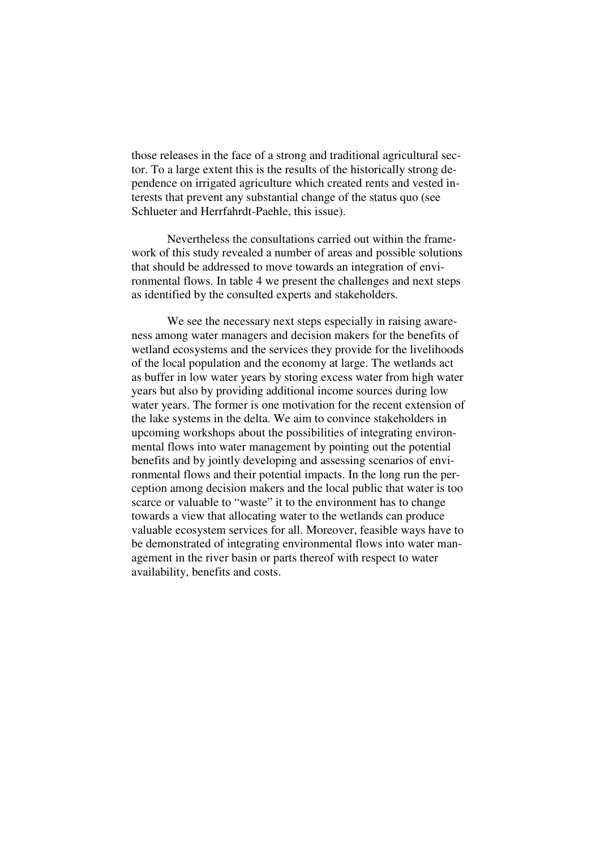those releases in the face of a strong and traditional agricultural sector. To a large extent this is the results of the historically strong dependence on irrigated agriculture which created rents and vested interests that prevent any substantial change of the status quo (see Schlueter and Herrfahrdt-Paehle, this issue).

Nevertheless the consultations carried out within the framework of this study revealed a number of areas and possible solutions that should be addressed to move towards an integration of environmental flows. In table 4 we present the challenges and next steps as identified by the consulted experts and stakeholders.

We see the necessary next steps especially in raising awareness among water managers and decision makers for the benefits of wetland ecosystems and the services they provide for the livelihoods of the local population and the economy at large. The wetlands act as buffer in low water years by storing excess water from high water years but also by providing additional income sources during low water years. The former is one motivation for the recent extension of the lake systems in the delta. We aim to convince stakeholders in upcoming workshops about the possibilities of integrating environmental flows into water management by pointing out the potential benefits and by jointly developing and assessing scenarios of environmental flows and their potential impacts. In the long run the perception among decision makers and the local public that water is too scarce or valuable to "waste" it to the environment has to change towards a view that allocating water to the wetlands can produce valuable ecosystem services for all. Moreover, feasible ways have to be demonstrated of integrating environmental flows into water management in the river basin or parts thereof with respect to water availability, benefits and costs.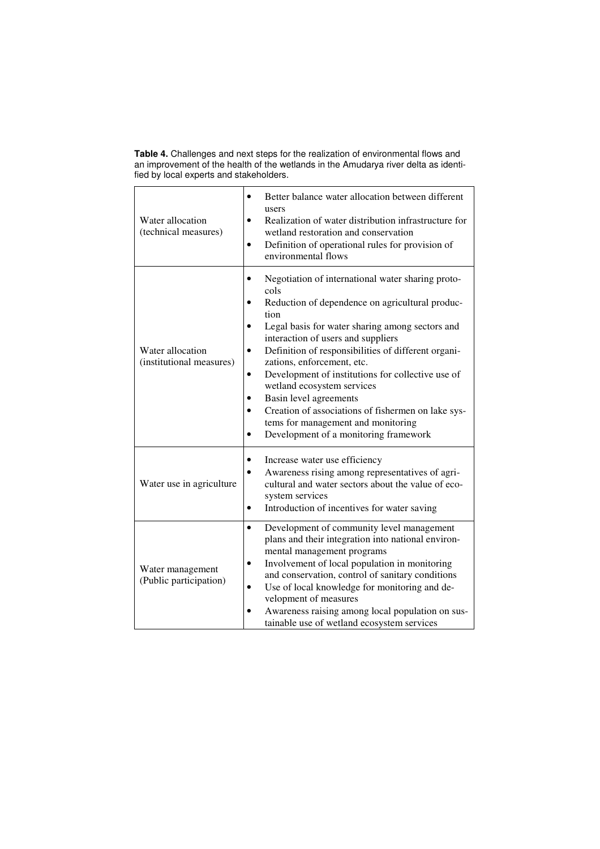**Table 4.** Challenges and next steps for the realization of environmental flows and an improvement of the health of the wetlands in the Amudarya river delta as identified by local experts and stakeholders.

| Water allocation<br>(technical measures)     | Better balance water allocation between different<br>users<br>Realization of water distribution infrastructure for<br>$\bullet$<br>wetland restoration and conservation<br>Definition of operational rules for provision of<br>$\bullet$<br>environmental flows                                                                                                                                                                                                                                                                                                                             |
|----------------------------------------------|---------------------------------------------------------------------------------------------------------------------------------------------------------------------------------------------------------------------------------------------------------------------------------------------------------------------------------------------------------------------------------------------------------------------------------------------------------------------------------------------------------------------------------------------------------------------------------------------|
| Water allocation<br>(institutional measures) | Negotiation of international water sharing proto-<br>cols<br>Reduction of dependence on agricultural produc-<br>tion<br>Legal basis for water sharing among sectors and<br>$\bullet$<br>interaction of users and suppliers<br>Definition of responsibilities of different organi-<br>$\bullet$<br>zations, enforcement, etc.<br>Development of institutions for collective use of<br>$\bullet$<br>wetland ecosystem services<br>Basin level agreements<br>Creation of associations of fishermen on lake sys-<br>tems for management and monitoring<br>Development of a monitoring framework |
| Water use in agriculture                     | Increase water use efficiency<br>Awareness rising among representatives of agri-<br>$\bullet$<br>cultural and water sectors about the value of eco-<br>system services<br>Introduction of incentives for water saving                                                                                                                                                                                                                                                                                                                                                                       |
| Water management<br>(Public participation)   | Development of community level management<br>$\bullet$<br>plans and their integration into national environ-<br>mental management programs<br>Involvement of local population in monitoring<br>and conservation, control of sanitary conditions<br>Use of local knowledge for monitoring and de-<br>$\bullet$<br>velopment of measures<br>Awareness raising among local population on sus-<br>$\bullet$<br>tainable use of wetland ecosystem services                                                                                                                                       |